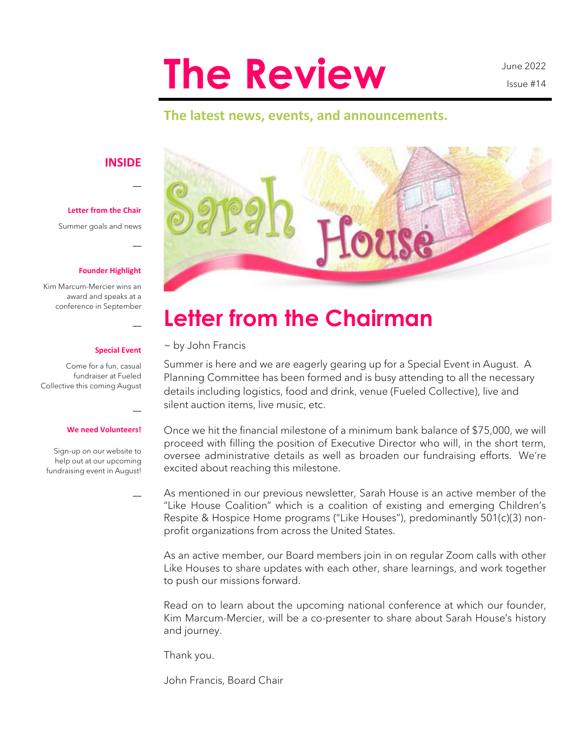# **The Review**

June 2022 Issue #14

### **The latest news, events, and announcements.**

#### **INSIDE**

 $\overline{\phantom{a}}$ 

 $\overline{a}$ 

 $\overline{a}$ 

 $\overline{\phantom{a}}$ 

 $\overline{\phantom{a}}$ 

**Letter from the Chair** 

Summer goals and news

#### **Founder Highlight**

Kim Marcum-Mercier wins an award and speaks at a conference in September

#### **Special Event**

Come for a fun, casual fundraiser at Fueled Collective this coming August

#### **We need Volunteers!**

Sign-up on our website to help out at our upcoming fundraising event in August!



# **Letter from the Chairman**

~ by John Francis

Summer is here and we are eagerly gearing up for a Special Event in August. A Planning Committee has been formed and is busy attending to all the necessary details including logistics, food and drink, venue (Fueled Collective), live and silent auction items, live music, etc.

Once we hit the financial milestone of a minimum bank balance of \$75,000, we will proceed with filling the position of Executive Director who will, in the short term, oversee administrative details as well as broaden our fundraising efforts. We're excited about reaching this milestone.

As mentioned in our previous newsletter, Sarah House is an active member of the "Like House Coalition" which is a coalition of existing and emerging Children's Respite & Hospice Home programs ("Like Houses"), predominantly 501(c)(3) nonprofit organizations from across the United States.

As an active member, our Board members join in on regular Zoom calls with other Like Houses to share updates with each other, share learnings, and work together to push our missions forward.

Read on to learn about the upcoming national conference at which our founder, Kim Marcum-Mercier, will be a co-presenter to share about Sarah House's history and journey.

Thank you.

John Francis, Board Chair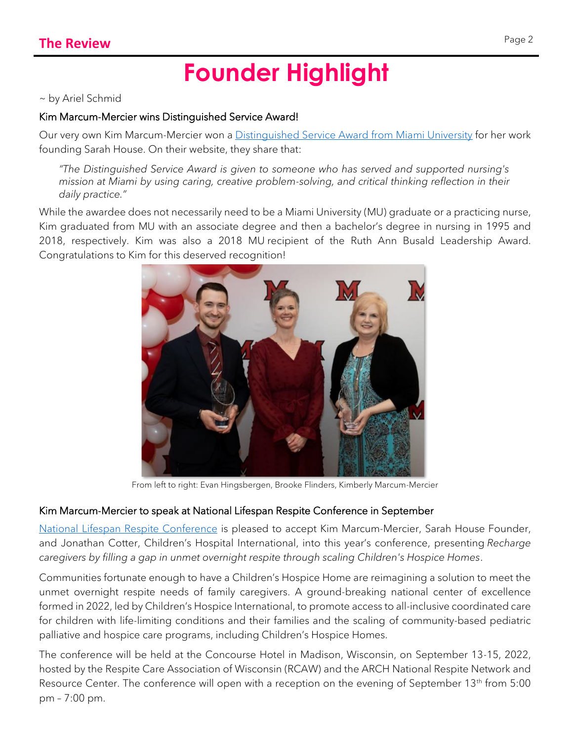# **Founder Highlight**

~ by Ariel Schmid

### Kim Marcum-Mercier wins Distinguished Service Award!

Our very own Kim Marcum-Mercier won a [Distinguished Service Award from Miami University](https://miamioh.edu/regionals/news-events/2022/04/four-recognized-for-ties-to-miami-universitys-nursing-program.html) for her work founding Sarah House. On their website, they share that:

*"The Distinguished Service Award is given to someone who has served and supported nursing's mission at Miami by using caring, creative problem-solving, and critical thinking reflection in their daily practice."*

While the awardee does not necessarily need to be a Miami University (MU) graduate or a practicing nurse, Kim graduated from MU with an associate degree and then a bachelor's degree in nursing in 1995 and 2018, respectively. Kim was also a 2018 MU recipient of the Ruth Ann Busald Leadership Award. Congratulations to Kim for this deserved recognition!



From left to right: Evan Hingsbergen, Brooke Flinders, Kimberly Marcum-Mercier

### Kim Marcum-Mercier to speak at National Lifespan Respite Conference in September

[National Lifespan Respite Conference](https://respitecarewi.org/national-lifespan-respite-conference/) is pleased to accept Kim Marcum-Mercier, Sarah House Founder, and Jonathan Cotter, Children's Hospital International, into this year's conference, presenting *Recharge caregivers by filling a gap in unmet overnight respite through scaling Children's Hospice Homes*.

Communities fortunate enough to have a Children's Hospice Home are reimagining a solution to meet the unmet overnight respite needs of family caregivers. A ground-breaking national center of excellence formed in 2022, led by Children's Hospice International, to promote access to all-inclusive coordinated care for children with life-limiting conditions and their families and the scaling of community-based pediatric palliative and hospice care programs, including Children's Hospice Homes.

The conference will be held at the Concourse Hotel in Madison, Wisconsin, on September 13-15, 2022, hosted by the Respite Care Association of Wisconsin (RCAW) and the ARCH National Respite Network and Resource Center. The conference will open with a reception on the evening of September 13<sup>th</sup> from 5:00 pm – 7:00 pm.